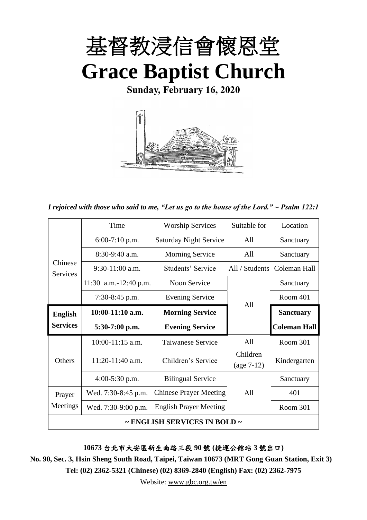

**Sunday, February 16, 2020**



*I rejoiced with those who said to me, "Let us go to the house of the Lord." ~ Psalm 122:1*

|                     | Time                  | <b>Worship Services</b>       | Suitable for   | Location            |
|---------------------|-----------------------|-------------------------------|----------------|---------------------|
|                     | $6:00-7:10$ p.m.      | <b>Saturday Night Service</b> | All            | Sanctuary           |
|                     | $8:30-9:40$ a.m.      | <b>Morning Service</b>        | All            | Sanctuary           |
| Chinese<br>Services | $9:30-11:00$ a.m.     | Students' Service             | All / Students | Coleman Hall        |
|                     | 11:30 a.m.-12:40 p.m. | Noon Service                  |                | Sanctuary           |
|                     | 7:30-8:45 p.m.        | <b>Evening Service</b>        | All            | Room 401            |
| <b>English</b>      | 10:00-11:10 a.m.      | <b>Morning Service</b>        |                | <b>Sanctuary</b>    |
| <b>Services</b>     | $5:30-7:00$ p.m.      | <b>Evening Service</b>        |                | <b>Coleman Hall</b> |
|                     | 10:00-11:15 a.m.      | Taiwanese Service             | All            | Room 301            |
| <b>Others</b>       | $11:20-11:40$ a.m.    | Children's Service            | Children       | Kindergarten        |
|                     |                       |                               | $(age 7-12)$   |                     |
|                     | $4:00-5:30$ p.m.      | <b>Bilingual Service</b>      |                | Sanctuary           |
| Prayer              | Wed. 7:30-8:45 p.m.   | <b>Chinese Prayer Meeting</b> | All            | 401                 |
| Meetings            | Wed. 7:30-9:00 p.m.   | <b>English Prayer Meeting</b> |                | Room 301            |
|                     |                       | ~ ENGLISH SERVICES IN BOLD ~  |                |                     |

**10673** 台北市大安區新生南路三段 **90** 號 **(**捷運公館站 **3** 號出口**)**

**No. 90, Sec. 3, Hsin Sheng South Road, Taipei, Taiwan 10673 (MRT Gong Guan Station, Exit 3) Tel: (02) 2362-5321 (Chinese) (02) 8369-2840 (English) Fax: (02) 2362-7975**

Website: [www.gbc.org.tw/en](http://www.gbc.org.tw/en)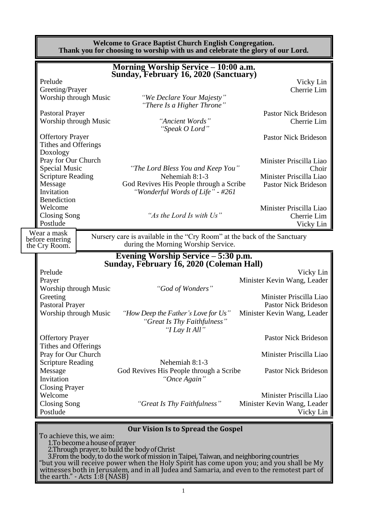|                                                                  |                                | <b>Welcome to Grace Baptist Church English Congregation.</b><br>Thank you for choosing to worship with us and celebrate the glory of our Lord. |                                                                     |
|------------------------------------------------------------------|--------------------------------|------------------------------------------------------------------------------------------------------------------------------------------------|---------------------------------------------------------------------|
|                                                                  |                                | Morning Worship Service – 10:00 a.m.<br>Sunday, February 16, 2020 (Sanctuary)                                                                  |                                                                     |
| Prelude<br>Greeting/Prayer<br>Worship through Music              |                                | "We Declare Your Majesty"<br>"There Is a Higher Throne"                                                                                        | Vicky Lin<br>Cherrie Lim                                            |
| <b>Pastoral Prayer</b><br>Worship through Music                  |                                | "Ancient Words"<br>"Speak O Lord"                                                                                                              | <b>Pastor Nick Brideson</b><br>Cherrie Lim                          |
| <b>Offertory Prayer</b><br>Tithes and Offerings<br>Doxology      |                                |                                                                                                                                                | <b>Pastor Nick Brideson</b>                                         |
| Pray for Our Church<br>Special Music<br><b>Scripture Reading</b> |                                | "The Lord Bless You and Keep You"<br>Nehemiah 8:1-3                                                                                            | Minister Priscilla Liao<br>Choir<br>Minister Priscilla Liao         |
| Message<br>Invitation<br>Benediction                             |                                | God Revives His People through a Scribe<br>"Wonderful Words of Life" - #261                                                                    | <b>Pastor Nick Brideson</b>                                         |
| Welcome<br><b>Closing Song</b><br>Postlude                       |                                | "As the Lord Is with Us"                                                                                                                       | Minister Priscilla Liao<br>Cherrie Lim<br>Vicky Lin                 |
| Wear a mask<br>before entering<br>the Cry Room.                  |                                | Nursery care is available in the "Cry Room" at the back of the Sanctuary<br>during the Morning Worship Service.                                |                                                                     |
|                                                                  |                                | Evening Worship Service – 5:30 p.m.<br>Sunday, February 16, 2020 (Coleman Hall)                                                                |                                                                     |
| Prelude<br>Prayer<br>Worship through Music                       |                                | "God of Wonders"                                                                                                                               | Vicky Lin<br>Minister Kevin Wang, Leader                            |
| Greeting<br><b>Pastoral Prayer</b>                               |                                |                                                                                                                                                | Minister Priscilla Liao<br><b>Pastor Nick Brideson</b>              |
| Worship through Music                                            |                                | "How Deep the Father's Love for Us" Minister Kevin Wang, Leader<br>"Great Is Thy Faithfulness"<br>"I Lay It All"                               |                                                                     |
| <b>Offertory Prayer</b><br>Tithes and Offerings                  |                                |                                                                                                                                                | <b>Pastor Nick Brideson</b>                                         |
| Pray for Our Church<br><b>Scripture Reading</b>                  |                                | Nehemiah 8:1-3                                                                                                                                 | Minister Priscilla Liao                                             |
| Message<br>Invitation<br><b>Closing Prayer</b>                   |                                | God Revives His People through a Scribe<br>"Once Again"                                                                                        | <b>Pastor Nick Brideson</b>                                         |
| Welcome<br><b>Closing Song</b><br>Postlude                       |                                | "Great Is Thy Faithfulness"                                                                                                                    | Minister Priscilla Liao<br>Minister Kevin Wang, Leader<br>Vicky Lin |
| To achieve this, we aim:                                         | 1. To become a house of prayer | <b>Our Vision Is to Spread the Gospel</b><br>2. Through prayer, to build the body of Christ                                                    |                                                                     |

3.From the body, to do the work of mission in Taipei, Taiwan, and neighboring countries "but you will receive power when the Holy Spirit has come upon you; and you shall be My witnesses both in Jerusalem, and in all Judea and Samaria, and even to the remotest part of the earth." - Acts  $1.8$  (NASB)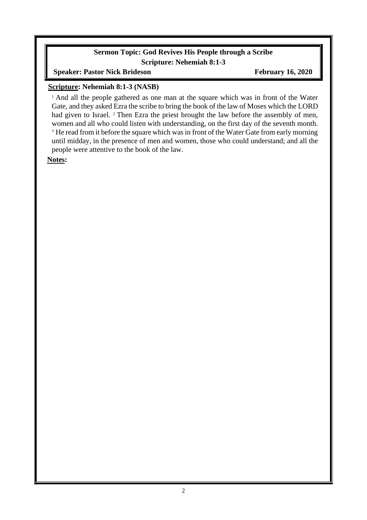### **Sermon Topic: God Revives His People through a Scribe Scripture: Nehemiah 8:1-3**

**Speaker: Pastor Nick Brideson February 16, 2020** 

### **Scripture: Nehemiah 8:1-3 (NASB)**

<sup>1</sup> And all the people gathered as one man at the square which was in front of the Water Gate, and they asked Ezra the scribe to bring the book of the law of Moses which the LORD had given to Israel. <sup>2</sup> Then Ezra the priest brought the law before the assembly of men, women and all who could listen with understanding, on the first day of the seventh month. <sup>3</sup> He read from it before the square which was in front of the Water Gate from early morning until midday, in the presence of men and women, those who could understand; and all the people were attentive to the book of the law.

**Notes:**

 $\overline{\phantom{a}}$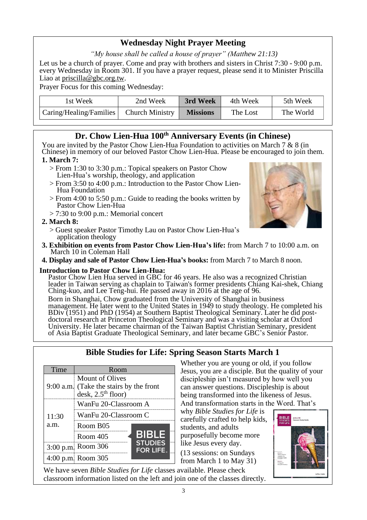# **Wednesday Night Prayer Meeting**

*"My house shall be called a house of prayer" (Matthew 21:13)*

Let us be a church of prayer. Come and pray with brothers and sisters in Christ 7:30 - 9:00 p.m. every Wednesday in Room 301. If you have a prayer request, please send it to Minister Priscilla Liao at [priscilla@gbc.org.tw.](mailto:priscilla@gbc.org.tw)

Prayer Focus for this coming Wednesday:

| 1st Week                                  | 2nd Week | 3rd Week        | 4th Week | 5th Week  |
|-------------------------------------------|----------|-----------------|----------|-----------|
| Caring/Healing/Families   Church Ministry |          | <b>Missions</b> | The Lost | The World |

# **Dr. Chow Lien-Hua 100th Anniversary Events (in Chinese)**

You are invited by the Pastor Chow Lien-Hua Foundation to activities on March 7 & 8 (in Chinese) in memory of our beloved Pastor Chow Lien-Hua. Please be encouraged to join them.

#### **1. March 7:**

- > From 1:30 to 3:30 p.m.: Topical speakers on Pastor Chow Lien-Hua's worship, theology, and application
- > From 3:50 to 4:00 p.m.: Introduction to the Pastor Chow Lien-Hua Foundation
- > From 4:00 to 5:50 p.m.: Guide to reading the books written by Pastor Chow Lien-Hua
- $> 7:30$  to 9:00 p.m.: Memorial concert

### **2. March 8:**

- > Guest speaker Pastor Timothy Lau on Pastor Chow Lien-Hua's application theology
- **3. Exhibition on events from Pastor Chow Lien-Hua's life:** from March 7 to 10:00 a.m. on March 10 in Coleman Hall
- **4. Display and sale of Pastor Chow Lien-Hua's books:** from March 7 to March 8 noon.

#### **Introduction to Pastor Chow Lien-Hua:**

Pastor Chow Lien Hua served in GBC for 46 years. He also was a recognized Christian leader in Taiwan serving as chaplain to Taiwan's former presidents Chiang Kai-shek, Chiang Ching-kuo, and Lee Teng-hui. He passed away in 2016 at the age of 96.

Born in Shanghai, Chow graduated from the University of Shanghai in business management. He later went to the United States in 1949 to study theology. He completed his BDiv (1951) and PhD (1954) at Southern Baptist Theological Seminary. Later he did postdoctoral research at Princeton Theological Seminary and was a visiting scholar at Oxford University. He later became chairman of the Taiwan Baptist Christian Seminary, president of Asia Baptist Graduate Theological Seminary, and later became GBC's Senior Pastor.

| Time  | Room                                                                               |                                    |
|-------|------------------------------------------------------------------------------------|------------------------------------|
|       | Mount of Olives<br>9:00 a.m. (Take the stairs by the front<br>desk, $2.5th$ floor) |                                    |
|       | WanFu 20-Classroom A                                                               |                                    |
| 11:30 | WanFu 20-Classroom C                                                               |                                    |
| a.m.  | Room B <sub>05</sub>                                                               |                                    |
|       | Room 405                                                                           | <b>BIBLE</b>                       |
|       | 3:00 p.m. Room 306                                                                 | <b>STUDIES</b><br><b>FOR LIFE.</b> |
|       | 4:00 p.m. Room 305                                                                 |                                    |

**Bible Studies for Life: Spring Season Starts March 1**

Whether you are young or old, if you follow Jesus, you are a disciple. But the quality of your discipleship isn't measured by how well you can answer questions. Discipleship is about being transformed into the likeness of Jesus. And transformation starts in the Word. That's

why *Bible Studies for Life* is carefully crafted to help kids, students, and adults purposefully become more like Jesus every day. (13 sessions: on Sundays from March 1 to May 31)



We have seven *Bible Studies for Life* classes available. Please check classroom information listed on the left and join one of the classes directly.

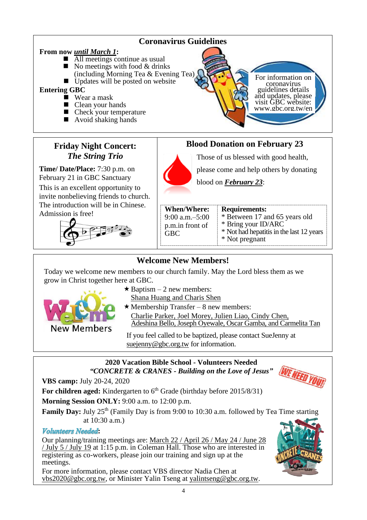

# **Welcome New Members!**

Today we welcome new members to our church family. May the Lord bless them as we grow in Christ together here at GBC.



- $\star$  Baptism 2 new members:
	- Shana Huang and Charis Shen
- $\star$  Membership Transfer 8 new members: Charlie Parker, Joel Morey, Julien Liao, Cindy Chen, Adeshina Bello, Joseph Oyewale, Oscar Gamba, and Carmelita Tan

If you feel called to be baptized, please contact SueJenny at [suejenny@gbc.org.tw](mailto:suejenny@gbc.org.tw) for information.

## **2020 Vacation Bible School - Volunteers Needed** *"CONCRETE & CRANES - Building on the Love of Jesus"*

**VBS camp:** July 20-24, 2020

For children aged: Kindergarten to 6<sup>th</sup> Grade (birthday before 2015/8/31)

**Morning Session ONLY:** 9:00 a.m. to 12:00 p.m.

**Family Day:** July 25<sup>th</sup> (Family Day is from 9:00 to 10:30 a.m. followed by Tea Time starting at 10:30 a.m.)

# **Volunteers** Needed:

Our planning/training meetings are: March 22 / April 26 / May 24 / June 28 / July 5 / July 19 at 1:15 p.m. in Coleman Hall. Those who are interested in registering as co-workers, please join our training and sign up at the meetings.

For more information, please contact VBS director Nadia Chen at [vbs2020@gbc.org.tw,](mailto:vbs2020@gbc.org.tw) or Minister Yalin Tseng at [yalintseng@gbc.org.tw.](mailto:yalintseng@gbc.org.tw)

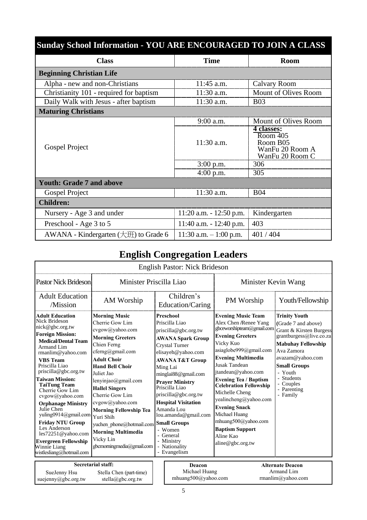| <b>Sunday School Information - YOU ARE ENCOURAGED TO JOIN A CLASS</b> |                            |                                                                                               |
|-----------------------------------------------------------------------|----------------------------|-----------------------------------------------------------------------------------------------|
| <b>Class</b>                                                          | <b>Time</b>                | <b>Room</b>                                                                                   |
| <b>Beginning Christian Life</b>                                       |                            |                                                                                               |
| Alpha - new and non-Christians                                        | 11:45 a.m.                 | Calvary Room                                                                                  |
| Christianity 101 - required for baptism                               | 11:30 a.m.                 | Mount of Olives Room                                                                          |
| Daily Walk with Jesus - after baptism                                 | 11:30 a.m.                 | <b>B03</b>                                                                                    |
| <b>Maturing Christians</b>                                            |                            |                                                                                               |
|                                                                       | 9:00 a.m.                  | Mount of Olives Room                                                                          |
| Gospel Project                                                        | $11:30$ a.m.               | 4 classes:<br>$\overline{\text{Room } 405}$<br>Room B05<br>WanFu 20 Room A<br>WanFu 20 Room C |
|                                                                       | $3:00$ p.m.                | 306                                                                                           |
|                                                                       | $4:00$ p.m.                | 305                                                                                           |
| <b>Youth: Grade 7 and above</b>                                       |                            |                                                                                               |
| Gospel Project                                                        | 11:30 a.m.                 | <b>B04</b>                                                                                    |
| <b>Children:</b>                                                      |                            |                                                                                               |
| Nursery - Age 3 and under                                             | $11:20$ a.m. $-12:50$ p.m. | Kindergarten                                                                                  |
| Preschool - Age 3 to 5                                                | $11:40$ a.m. $-12:40$ p.m. | 403                                                                                           |
| AWANA - Kindergarten (大班) to Grade 6                                  | 11:30 a.m. $-1:00$ p.m.    | 401/404                                                                                       |

# **English Congregation Leaders**

|                                                                                                                                                                                                                                                                                                                                                                                                                                                                                                                           |                                                                                                                                                                                                                                                                                                                                                                                                                               | English Pastor: Nick Brideson                                                                                                                                                                                                                                                                                                                                                                                                                |                                                                                                                                                                                                                                                                                                                                                                                                                                                                     |                                                                                                                                                                                                                                                          |
|---------------------------------------------------------------------------------------------------------------------------------------------------------------------------------------------------------------------------------------------------------------------------------------------------------------------------------------------------------------------------------------------------------------------------------------------------------------------------------------------------------------------------|-------------------------------------------------------------------------------------------------------------------------------------------------------------------------------------------------------------------------------------------------------------------------------------------------------------------------------------------------------------------------------------------------------------------------------|----------------------------------------------------------------------------------------------------------------------------------------------------------------------------------------------------------------------------------------------------------------------------------------------------------------------------------------------------------------------------------------------------------------------------------------------|---------------------------------------------------------------------------------------------------------------------------------------------------------------------------------------------------------------------------------------------------------------------------------------------------------------------------------------------------------------------------------------------------------------------------------------------------------------------|----------------------------------------------------------------------------------------------------------------------------------------------------------------------------------------------------------------------------------------------------------|
| <b>Pastor Nick Brideson</b>                                                                                                                                                                                                                                                                                                                                                                                                                                                                                               | Minister Priscilla Liao                                                                                                                                                                                                                                                                                                                                                                                                       |                                                                                                                                                                                                                                                                                                                                                                                                                                              | Minister Kevin Wang                                                                                                                                                                                                                                                                                                                                                                                                                                                 |                                                                                                                                                                                                                                                          |
| <b>Adult Education</b><br>/Mission                                                                                                                                                                                                                                                                                                                                                                                                                                                                                        | AM Worship                                                                                                                                                                                                                                                                                                                                                                                                                    | Children's<br>Education/Caring                                                                                                                                                                                                                                                                                                                                                                                                               | PM Worship                                                                                                                                                                                                                                                                                                                                                                                                                                                          | Youth/Fellowship                                                                                                                                                                                                                                         |
| <b>Adult Education</b><br>Nick Brideson<br>nick@gbc.org.tw<br><b>Foreign Mission:</b><br><b>Medical/Dental Team</b><br>Armand Lim<br>rmanlim@yahoo.com<br><b>VBS</b> Team<br>Priscilla Liao<br>priscilla@gbc.org.tw<br><b>Taiwan Mission:</b><br><b>TaiTung Team</b><br>Cherrie Gow Lim<br>cvgow@yahoo.com<br><b>Orphanage Ministry</b><br>Julie Chen<br>yuling0914@gmail.com<br><b>Friday NTU Group</b><br>Les Anderson<br>les72251@yahoo.com<br><b>Evergreen Fellowship</b><br>Winnie Liang<br>wistlesliang@hotmail.com | <b>Morning Music</b><br>Cherrie Gow Lim<br>cvgow@yahoo.com<br><b>Morning Greeters</b><br>Chien Ferng<br>cferng@gmail.com<br><b>Adult Choir</b><br><b>Hand Bell Choir</b><br>Juliet Jao<br>lenyinjao@gmail.com<br><b>Hallel Singers</b><br>Cherrie Gow Lim<br>cvgow@yahoo.com<br><b>Morning Fellowship Tea</b><br>Yuri Shih<br>yuchen phone@hotmail.com<br><b>Morning Multimedia</b><br>Vicky Lin<br>gbcmorningmedia@gmail.com | <b>Preschool</b><br>Priscilla Liao<br>priscilla@gbc.org.tw<br><b>AWANA Spark Group</b><br><b>Crystal Turner</b><br>elisayeh@yahoo.com<br><b>AWANA T&amp;T Group</b><br>Ming Lai<br>minglai88@gmail.com<br><b>Prayer Ministry</b><br>Priscilla Liao<br>priscilla@gbc.org.tw<br><b>Hospital Visitation</b><br>Amanda Lou<br>lou.amanda@gmail.com<br><b>Small Groups</b><br>- Women<br>- General<br>- Ministry<br>- Nationality<br>- Evangelism | <b>Evening Music Team</b><br>Alex Chen /Renee Yang<br>gbceworshipteam@gmail.com<br><b>Evening Greeters</b><br>Vicky Kuo<br>asiaglobe999@gmail.com<br><b>Evening Multimedia</b><br><b>Jusak Tandean</b><br>jtandean@yahoo.com<br><b>Evening Tea / Baptism</b><br><b>Celebration Fellowship</b><br>Michelle Cheng<br>yealincheng@yahoo.com<br><b>Evening Snack</b><br>Michael Huang<br>mhuang500@yahoo.com<br><b>Baptism Support</b><br>Aline Kao<br>aline@gbc.org.tw | <b>Trinity Youth</b><br>(Grade 7 and above)<br>Grant & Kirsten Burgess<br>grantburgess@live.co.za<br><b>Mabuhay Fellowship</b><br>Ava Zamora<br>avazam@yahoo.com<br><b>Small Groups</b><br>- Youth<br>- Students<br>- Couples<br>- Parenting<br>- Family |
| SueJenny Hsu<br>suejenny@gbc.org.tw                                                                                                                                                                                                                                                                                                                                                                                                                                                                                       | <b>Secretarial staff:</b><br>Stella Chen (part-time)<br>stella@gbc.org.tw                                                                                                                                                                                                                                                                                                                                                     | Deacon<br>Michael Huang<br>mhuang500@yahoo.com                                                                                                                                                                                                                                                                                                                                                                                               |                                                                                                                                                                                                                                                                                                                                                                                                                                                                     | <b>Alternate Deacon</b><br>Armand Lim<br>rmanlim@yahoo.com                                                                                                                                                                                               |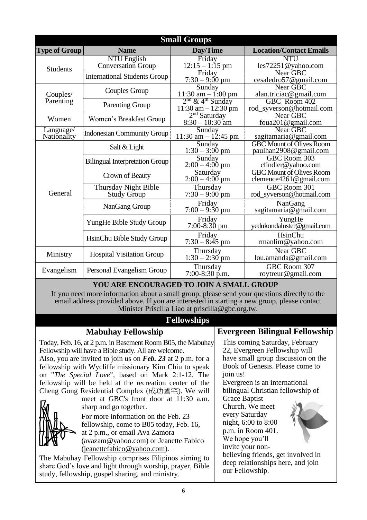|                          |                                                 | <b>Small Groups</b>                                       |                                                           |
|--------------------------|-------------------------------------------------|-----------------------------------------------------------|-----------------------------------------------------------|
| <b>Type of Group</b>     | <b>Name</b>                                     | Day/Time                                                  | <b>Location/Contact Emails</b>                            |
| <b>Students</b>          | <b>NTU English</b><br><b>Conversation Group</b> | Friday<br>$12:15 - 1:15$ pm                               | <b>NTU</b><br>les72251@yahoo.com                          |
|                          | <b>International Students Group</b>             | Friday<br>$7:30 - 9:00$ pm                                | Near GBC<br>cesaledro57@gmail.com                         |
| Couples/                 | Couples Group                                   | Sunday<br>11:30 am $-$ 1:00 pm                            | Near GBC<br>alan.triciac@gmail.com                        |
| Parenting                | <b>Parenting Group</b>                          | $2nd$ & 4 <sup>th</sup> Sunday<br>$11:30$ am $- 12:30$ pm | GBC Room 402<br>rod_syverson@hotmail.com                  |
| Women                    | Women's Breakfast Group                         | $2nd$ Saturday<br>$8:30 - 10:30$ am                       | Near GBC<br>foua201@gmail.com                             |
| Language/<br>Nationality | <b>Indonesian Community Group</b>               | Sunday<br>$11:30$ am $-12:45$ pm                          | Near GBC<br>sagitamaria@gmail.com                         |
|                          | Salt & Light                                    | Sunday<br>$1:30 - 3:00 \text{ pm}$                        | <b>GBC Mount of Olives Room</b><br>paulhan2908@gmail.com  |
|                          | <b>Bilingual Interpretation Group</b>           | $\overline{\text{S}}$ unday<br>$2:00 - 4:00$ pm           | GBC Room 303<br>cfindler@yahoo.com                        |
|                          | Crown of Beauty                                 | Saturday<br>$2:00 - 4:00$ pm                              | <b>GBC Mount of Olives Room</b><br>clemence4261@gmail.com |
| General                  | Thursday Night Bible<br><b>Study Group</b>      | Thursday<br>$7:30 - 9:00$ pm                              | GBC Room 301<br>rod_syverson@hotmail.com                  |
|                          | NanGang Group                                   | Friday<br>$7:00 - 9:30$ pm                                | NanGang<br>sagitamaria@gmail.com                          |
|                          | YungHe Bible Study Group                        | Friday<br>$7:00-8:30$ pm                                  | YungHe<br>yedukondaluster@gmail.com                       |
|                          | HsinChu Bible Study Group                       | Friday<br>$7:30 - 8:45$ pm                                | HsinChu<br>rmanlim@yahoo.com                              |
| Ministry                 | <b>Hospital Visitation Group</b>                | Thursday<br>$1:30 - 2:30$ pm                              | Near GBC<br>lou.amanda@gmail.com                          |
| Evangelism               | Personal Evangelism Group                       | Thursday<br>$7:00-8:30$ p.m.                              | GBC Room 307<br>roytreur@gmail.com                        |

#### **YOU ARE ENCOURAGED TO JOIN A SMALL GROUP**

If you need more information about a small group, please send your questions directly to the email address provided above. If you are interested in starting a new group, please contact Minister Priscilla Liao at [priscilla@gbc.org.tw.](mailto:priscilla@gbc.org.tw)

## **Fellowships**

## **Mabuhay Fellowship**

Today, Feb. 16, at 2 p.m. in Basement Room B05, the Mabuhay Fellowship will have a Bible study. All are welcome. Also, you are invited to join us on *Feb. 23* at 2 p.m. for a fellowship with Wycliffe missionary Kim Chiu to speak on "*The Special Love*", based on Mark 2:1-12. The fellowship will be held at the recreation center of the

Cheng Gong Residential Complex (成功國宅). We will meet at GBC's front door at 11:30 a.m. sharp and go together.

> For more information on the Feb. 23 fellowship, come to B05 today, Feb. 16, at 2 p.m., or email Ava Zamora (avazam@yahoo.com) or Jeanette Fabico (jeanettefabico@yahoo.com).

The Mabuhay Fellowship comprises Filipinos aiming to share God's love and light through worship, prayer, Bible study, fellowship, gospel sharing, and ministry.

**Evergreen Bilingual Fellowship**

This coming Saturday, February 22, Evergreen Fellowship will have small group discussion on the Book of Genesis. Please come to join us!

Evergreen is an international bilingual Christian fellowship of

Grace Baptist Church. We meet every Saturday night, 6:00 to 8:00 p.m. in Room 401. We hope you'll invite your non-



believing friends, get involved in deep relationships here, and join our Fellowship.